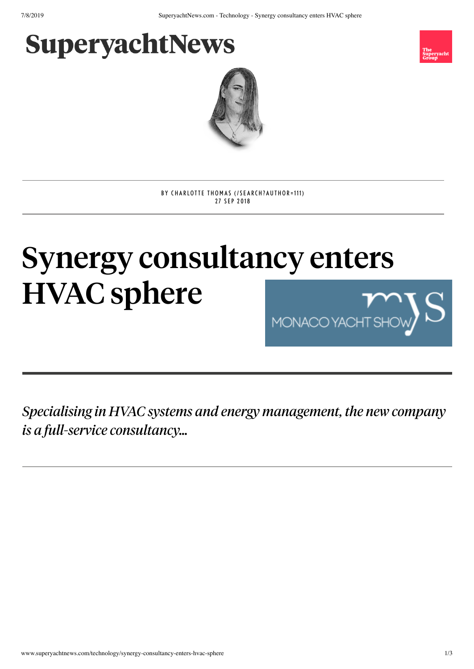## **SuperyachtNews**





BY CHARLO[TTE](http://www.superyachtnews.com/search?author=111) THOMAS (/SEARCH?AUTHOR=111) 27 SEP 2018

## Synergy consultancy enters HVAC sphere MONACO YA

*Specialising in HVAC systems and energy management, the new company is a full-service consultancy…*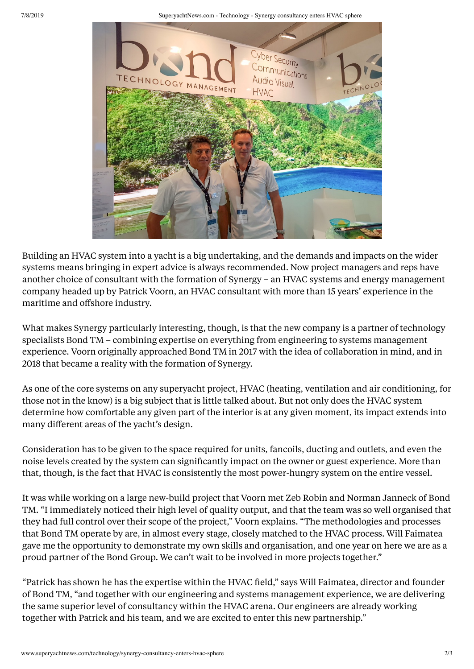7/8/2019 SuperyachtNews.com - Technology - Synergy consultancy enters HVAC sphere



Building an HVAC system into a yacht is a big undertaking, and the demands and impacts on the wider systems means bringing in expert advice is always recommended. Now project managers and reps have another choice of consultant with the formation of Synergy – an HVAC systems and energy management company headed up by Patrick Voorn, an HVAC consultant with more than 15 years' experience in the maritime and offshore industry.

What makes Synergy particularly interesting, though, is that the new company is a partner of technology specialists Bond TM – combining expertise on everything from engineering to systems management experience. Voorn originally approached Bond TM in 2017 with the idea of collaboration in mind, and in 2018 that became a reality with the formation of Synergy.

As one of the core systems on any superyacht project, HVAC (heating, ventilation and air conditioning, for those not in the know) is a big subject that is little talked about. But not only does the HVAC system determine how comfortable any given part of the interior is at any given moment, its impact extends into many different areas of the yacht's design.

Consideration has to be given to the space required for units, fancoils, ducting and outlets, and even the noise levels created by the system can significantly impact on the owner or guest experience. More than that, though, is the fact that HVAC is consistently the most power-hungry system on the entire vessel.

It was while working on a large new-build project that Voorn met Zeb Robin and Norman Janneck of Bond TM. "I immediately noticed their high level of quality output, and that the team was so well organised that they had full control over their scope of the project," Voorn explains. "The methodologies and processes that Bond TM operate by are, in almost every stage, closely matched to the HVAC process. Will Faimatea gave me the opportunity to demonstrate my own skills and organisation, and one year on here we are as a proud partner of the Bond Group. We can't wait to be involved in more projects together."

"Patrick has shown he has the expertise within the HVAC field," says Will Faimatea, director and founder of Bond TM, "and together with our engineering and systems management experience, we are delivering the same superior level of consultancy within the HVAC arena. Our engineers are already working together with Patrick and his team, and we are excited to enter this new partnership."